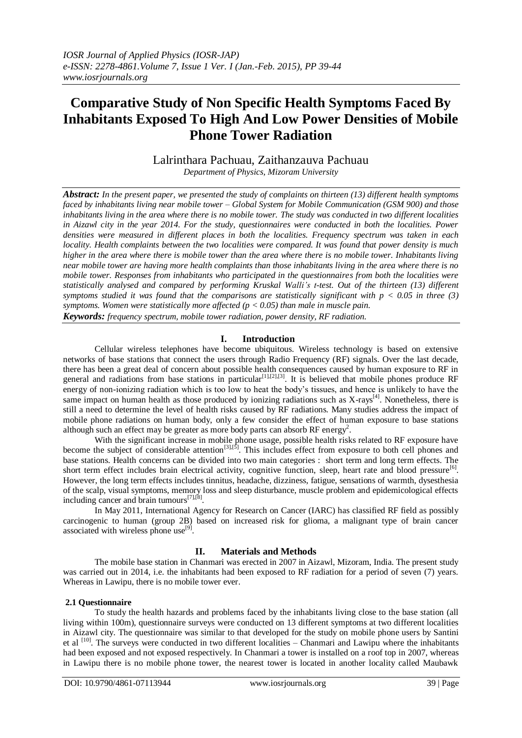# **Comparative Study of Non Specific Health Symptoms Faced By Inhabitants Exposed To High And Low Power Densities of Mobile Phone Tower Radiation**

## Lalrinthara Pachuau, Zaithanzauva Pachuau *Department of Physics, Mizoram University*

*Abstract: In the present paper, we presented the study of complaints on thirteen (13) different health symptoms faced by inhabitants living near mobile tower – Global System for Mobile Communication (GSM 900) and those inhabitants living in the area where there is no mobile tower. The study was conducted in two different localities in Aizawl city in the year 2014. For the study, questionnaires were conducted in both the localities. Power densities were measured in different places in both the localities. Frequency spectrum was taken in each locality. Health complaints between the two localities were compared. It was found that power density is much higher in the area where there is mobile tower than the area where there is no mobile tower. Inhabitants living near mobile tower are having more health complaints than those inhabitants living in the area where there is no mobile tower. Responses from inhabitants who participated in the questionnaires from both the localities were statistically analysed and compared by performing Kruskal Walli's t-test. Out of the thirteen (13) different symptoms studied it was found that the comparisons are statistically significant with p < 0.05 in three (3) symptoms. Women were statistically more affected (p < 0.05) than male in muscle pain.* 

*Keywords: frequency spectrum, mobile tower radiation, power density, RF radiation.*

## **I. Introduction**

Cellular wireless telephones have become ubiquitous. Wireless technology is based on extensive networks of base stations that connect the users through Radio Frequency (RF) signals. Over the last decade, there has been a great deal of concern about possible health consequences caused by human exposure to RF in general and radiations from base stations in particular<sup>[1],[2],[3]</sup>. It is believed that mobile phones produce RF energy of non-ionizing radiation which is too low to heat the body's tissues, and hence is unlikely to have the same impact on human health as those produced by ionizing radiations such as X-rays<sup>[4]</sup>. Nonetheless, there is still a need to determine the level of health risks caused by RF radiations. Many studies address the impact of mobile phone radiations on human body, only a few consider the effect of human exposure to base stations although such an effect may be greater as more body parts can absorb RF energy<sup>2</sup>.

With the significant increase in mobile phone usage, possible health risks related to RF exposure have become the subject of considerable attention<sup>[3],[5]</sup>. This includes effect from exposure to both cell phones and base stations. Health concerns can be divided into two main categories : short term and long term effects. The short term effect includes brain electrical activity, cognitive function, sleep, heart rate and blood pressure<sup>[6]</sup>. However, the long term effects includes tinnitus, headache, dizziness, fatigue, sensations of warmth, dysesthesia of the scalp, visual symptoms, memory loss and sleep disturbance, muscle problem and epidemicological effects including cancer and brain tumours<sup>[7],[8]</sup>.

In May 2011, International Agency for Research on Cancer (IARC) has classified RF field as possibly carcinogenic to human (group 2B) based on increased risk for glioma, a malignant type of brain cancer associated with wireless phone use<sup>[9]</sup>.

#### **II. Materials and Methods**

The mobile base station in Chanmari was erected in 2007 in Aizawl, Mizoram, India. The present study was carried out in 2014, i.e. the inhabitants had been exposed to RF radiation for a period of seven (7) years. Whereas in Lawipu, there is no mobile tower ever.

#### **2.1 Questionnaire**

To study the health hazards and problems faced by the inhabitants living close to the base station (all living within 100m), questionnaire surveys were conducted on 13 different symptoms at two different localities in Aizawl city. The questionnaire was similar to that developed for the study on mobile phone users by Santini et al <sup>[10]</sup>. The surveys were conducted in two different localities – Chanmari and Lawipu where the inhabitants had been exposed and not exposed respectively. In Chanmari a tower is installed on a roof top in 2007, whereas in Lawipu there is no mobile phone tower, the nearest tower is located in another locality called Maubawk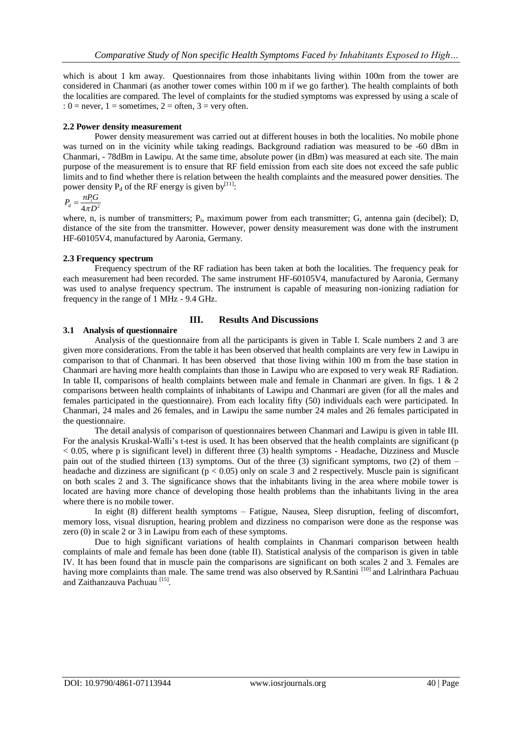which is about 1 km away. Questionnaires from those inhabitants living within 100m from the tower are considered in Chanmari (as another tower comes within 100 m if we go farther). The health complaints of both the localities are compared. The level of complaints for the studied symptoms was expressed by using a scale of :  $0 =$  never,  $1 =$  sometimes,  $2 =$  often,  $3 =$  very often.

#### **2.2 Power density measurement**

Power density measurement was carried out at different houses in both the localities. No mobile phone was turned on in the vicinity while taking readings. Background radiation was measured to be -60 dBm in Chanmari, - 78dBm in Lawipu. At the same time, absolute power (in dBm) was measured at each site. The main purpose of the measurement is to ensure that RF field emission from each site does not exceed the safe public limits and to find whether there is relation between the health complaints and the measured power densities. The power density  $P_d$  of the RF energy is given by<sup>[11]</sup>:

$$
P_d = \frac{n P_t G}{4\pi D^2}
$$

where, n, is number of transmitters;  $P_t$ , maximum power from each transmitter; G, antenna gain (decibel); D, distance of the site from the transmitter. However, power density measurement was done with the instrument HF-60105V4, manufactured by Aaronia, Germany.

#### **2.3 Frequency spectrum**

Frequency spectrum of the RF radiation has been taken at both the localities. The frequency peak for each measurement had been recorded. The same instrument HF-60105V4, manufactured by Aaronia, Germany was used to analyse frequency spectrum. The instrument is capable of measuring non-ionizing radiation for frequency in the range of 1 MHz - 9.4 GHz.

#### **III. Results And Discussions**

#### **3.1 Analysis of questionnaire**

Analysis of the questionnaire from all the participants is given in Table I. Scale numbers 2 and 3 are given more considerations. From the table it has been observed that health complaints are very few in Lawipu in comparison to that of Chanmari. It has been observed that those living within 100 m from the base station in Chanmari are having more health complaints than those in Lawipu who are exposed to very weak RF Radiation. In table II, comparisons of health complaints between male and female in Chanmari are given. In figs. 1 & 2 comparisons between health complaints of inhabitants of Lawipu and Chanmari are given (for all the males and females participated in the questionnaire). From each locality fifty (50) individuals each were participated. In Chanmari, 24 males and 26 females, and in Lawipu the same number 24 males and 26 females participated in the questionnaire.

The detail analysis of comparison of questionnaires between Chanmari and Lawipu is given in table III. For the analysis Kruskal-Walli's t-test is used. It has been observed that the health complaints are significant (p < 0.05, where p is significant level) in different three (3) health symptoms - Headache, Dizziness and Muscle pain out of the studied thirteen (13) symptoms. Out of the three (3) significant symptoms, two (2) of them – headache and dizziness are significant ( $p < 0.05$ ) only on scale 3 and 2 respectively. Muscle pain is significant on both scales 2 and 3. The significance shows that the inhabitants living in the area where mobile tower is located are having more chance of developing those health problems than the inhabitants living in the area where there is no mobile tower.

In eight (8) different health symptoms – Fatigue, Nausea, Sleep disruption, feeling of discomfort, memory loss, visual disruption, hearing problem and dizziness no comparison were done as the response was zero (0) in scale 2 or 3 in Lawipu from each of these symptoms.

Due to high significant variations of health complaints in Chanmari comparison between health complaints of male and female has been done (table II). Statistical analysis of the comparison is given in table IV. It has been found that in muscle pain the comparisons are significant on both scales 2 and 3. Females are having more complaints than male. The same trend was also observed by R.Santini [10] and Lalrinthara Pachuau and Zaithanzauva Pachuau<sup>[15]</sup>.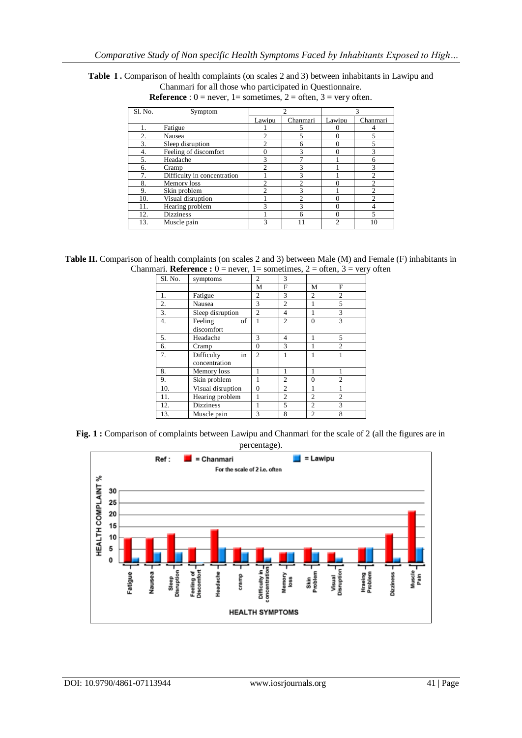| Sl. No. | Symptom                     | $\overline{2}$ |          | 3              |                |
|---------|-----------------------------|----------------|----------|----------------|----------------|
|         |                             | Lawipu         | Chanmari | Lawipu         | Chanmari       |
|         | Fatigue                     |                | 5        |                |                |
| 2.      | Nausea                      | $\overline{c}$ |          |                |                |
| 3.      | Sleep disruption            | っ              | 6        |                |                |
| 4.      | Feeling of discomfort       |                | 3        |                | 3              |
| 5.      | Headache                    | 3              |          |                | 6              |
| 6.      | Cramp                       | $\mathfrak{D}$ |          |                | 3              |
|         | Difficulty in concentration |                |          |                | $\mathfrak{D}$ |
| 8.      | Memory loss                 |                |          |                |                |
| 9.      | Skin problem                | 2              | 3        |                | C              |
| 10.     | Visual disruption           |                | 2        |                | $\mathfrak{D}$ |
| 11.     | Hearing problem             | 3              | 3        |                | 4              |
| 12.     | <b>Dizziness</b>            |                | 6        |                | 5              |
| 13.     | Muscle pain                 | 3              | 11       | $\mathfrak{D}$ | 10             |

**Table I .** Comparison of health complaints (on scales 2 and 3) between inhabitants in Lawipu and Chanmari for all those who participated in Questionnaire. **Reference** :  $0 =$  never,  $1 =$  sometimes,  $2 =$  often,  $3 =$  very often.

**Table II.** Comparison of health complaints (on scales 2 and 3) between Male (M) and Female (F) inhabitants in Chanmari. **Reference :**  $0 =$  never,  $1 =$  sometimes,  $2 =$  often,  $3 =$  very often

| Sl. No. | symptoms          | 2              | 3              |                |                |
|---------|-------------------|----------------|----------------|----------------|----------------|
|         |                   | M              | F              | М              | F              |
| 1.      | Fatigue           | $\overline{c}$ | 3              | $\overline{c}$ | $\overline{c}$ |
| 2.      | Nausea            | 3              | $\overline{c}$ | 1              | 5              |
| 3.      | Sleep disruption  | $\overline{2}$ | 4              | 1              | 3              |
| 4.      | of<br>Feeling     |                | $\overline{c}$ | $\theta$       | 3              |
|         | discomfort        |                |                |                |                |
| 5.      | Headache          | 3              | 4              | 1              | 5              |
| 6.      | Cramp             | $\Omega$       | 3              |                | $\overline{c}$ |
| 7.      | Difficulty<br>in  | $\overline{c}$ | 1              |                |                |
|         | concentration     |                |                |                |                |
| 8.      | Memory loss       | 1              | 1              | 1              | 1              |
| 9.      | Skin problem      | 1              | 2              | $\theta$       | $\overline{c}$ |
| 10.     | Visual disruption | $\theta$       | $\overline{c}$ | 1              |                |
| 11.     | Hearing problem   |                | $\overline{c}$ | $\overline{c}$ | $\overline{c}$ |
| 12.     | <b>Dizziness</b>  |                | 5              | $\overline{c}$ | 3              |
| 13.     | Muscle pain       | 3              | 8              | $\overline{c}$ | 8              |

**Fig. 1 :** Comparison of complaints between Lawipu and Chanmari for the scale of 2 (all the figures are in

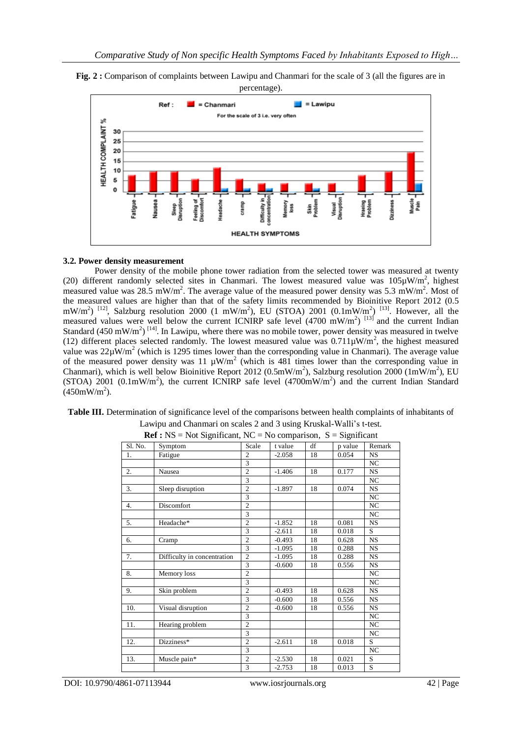



## **3.2. Power density measurement**

Power density of the mobile phone tower radiation from the selected tower was measured at twenty (20) different randomly selected sites in Chanmari. The lowest measured value was  $105\mu$ W/m<sup>2</sup>, highest measured value was 28.5 mW/m<sup>2</sup>. The average value of the measured power density was 5.3 mW/m<sup>2</sup>. Most of the measured values are higher than that of the safety limits recommended by Bioinitive Report 2012 (0.5  $mW/m^2$ ) <sup>[12]</sup>, Salzburg resolution 2000 (1 mW/m<sup>2</sup>), EU (STOA) 2001 (0.1mW/m<sup>2</sup>) <sup>[13]</sup>. However, all the measured values were well below the current ICNIRP safe level  $(4700 \text{ mW/m}^2)$  <sup>[13]</sup> and the current Indian Standard (450 mW/m<sup>2</sup>)<sup>[14]</sup>. In Lawipu, where there was no mobile tower, power density was measured in twelve (12) different places selected randomly. The lowest measured value was  $0.711 \mu W/m^2$ , the highest measured value was  $22\mu\text{W/m}^2$  (which is 1295 times lower than the corresponding value in Chanmari). The average value of the measured power density was 11  $\mu$ W/m<sup>2</sup> (which is 481 times lower than the corresponding value in Chanmari), which is well below Bioinitive Report 2012 (0.5mW/m<sup>2</sup>), Salzburg resolution 2000 (1mW/m<sup>2</sup>), EU (STOA) 2001 (0.1mW/m<sup>2</sup>), the current ICNIRP safe level (4700mW/m<sup>2</sup>) and the current Indian Standard  $(450 \text{mW/m}^2)$ .

**Table III.** Determination of significance level of the comparisons between health complaints of inhabitants of Lawipu and Chanmari on scales 2 and 3 using Kruskal-Walli's t-test.

| $1.00$ $\mu$ <sup>2</sup><br>$\ldots$<br>$-77 - 120 - 120$ |                             |                |          |    |         |           |
|------------------------------------------------------------|-----------------------------|----------------|----------|----|---------|-----------|
| $\overline{S}$ l. No.                                      | Symptom                     | Scale          | t value  | df | p value | Remark    |
| 1.                                                         | Fatigue                     | $\overline{c}$ | $-2.058$ | 18 | 0.054   | <b>NS</b> |
|                                                            |                             | $\overline{3}$ |          |    |         | NC        |
| $\overline{2}$ .                                           | Nausea                      | $\overline{2}$ | $-1.406$ | 18 | 0.177   | <b>NS</b> |
|                                                            |                             | 3              |          |    |         | <b>NC</b> |
| $\overline{3}$ .                                           | Sleep disruption            | $\overline{c}$ | $-1.897$ | 18 | 0.074   | <b>NS</b> |
|                                                            |                             | 3              |          |    |         | NC        |
| 4.                                                         | Discomfort                  | $\overline{c}$ |          |    |         | NC        |
|                                                            |                             | 3              |          |    |         | NC        |
| 5.                                                         | Headache*                   | $\overline{2}$ | $-1.852$ | 18 | 0.081   | <b>NS</b> |
|                                                            |                             | $\overline{3}$ | $-2.611$ | 18 | 0.018   | S         |
| 6.                                                         | Cramp                       | $\overline{c}$ | $-0.493$ | 18 | 0.628   | <b>NS</b> |
|                                                            |                             | 3              | $-1.095$ | 18 | 0.288   | <b>NS</b> |
| 7.                                                         | Difficulty in concentration | $\overline{2}$ | $-1.095$ | 18 | 0.288   | <b>NS</b> |
|                                                            |                             | 3              | $-0.600$ | 18 | 0.556   | <b>NS</b> |
| 8.                                                         | Memory loss                 | $\overline{c}$ |          |    |         | NC        |
|                                                            |                             | $\overline{3}$ |          |    |         | <b>NC</b> |
| 9.                                                         | Skin problem                | $\overline{2}$ | $-0.493$ | 18 | 0.628   | <b>NS</b> |
|                                                            |                             | 3              | $-0.600$ | 18 | 0.556   | <b>NS</b> |
| 10.                                                        | Visual disruption           | $\overline{2}$ | $-0.600$ | 18 | 0.556   | <b>NS</b> |
|                                                            |                             | 3              |          |    |         | NC        |
| 11.                                                        | Hearing problem             | $\overline{c}$ |          |    |         | NC        |
|                                                            |                             | 3              |          |    |         | NC        |
| 12.                                                        | Dizziness*                  | $\overline{c}$ | $-2.611$ | 18 | 0.018   | S         |
|                                                            |                             | 3              |          |    |         | NC        |
| 13.                                                        | Muscle pain*                | $\overline{c}$ | $-2.530$ | 18 | 0.021   | S         |
|                                                            |                             | 3              | $-2.753$ | 18 | 0.013   | S         |
|                                                            |                             |                |          |    |         |           |

|  | <b>Ref :</b> NS = Not Significant, NC = No comparison, $S =$ Significant |  |
|--|--------------------------------------------------------------------------|--|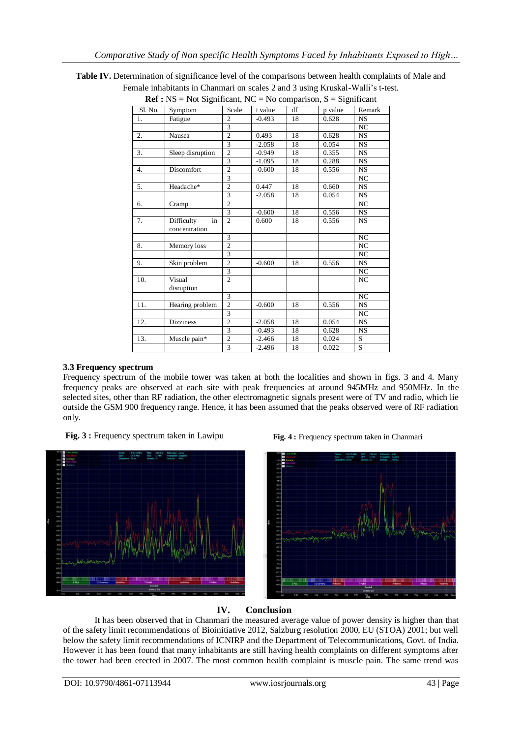**Table IV.** Determination of significance level of the comparisons between health complaints of Male and Female inhabitants in Chanmari on scales 2 and 3 using Kruskal-Walli's t-test.

| $\text{Ref}: NS = \text{Not Significant}, NC = \text{No comparison}, S = \text{Significant}$ |                                   |                |          |    |         |                |
|----------------------------------------------------------------------------------------------|-----------------------------------|----------------|----------|----|---------|----------------|
| Sl. No.                                                                                      | Symptom                           | Scale          | t value  | df | p value | Remark         |
| 1.                                                                                           | Fatigue                           | $\overline{c}$ | $-0.493$ | 18 | 0.628   | <b>NS</b>      |
|                                                                                              |                                   | $\overline{3}$ |          |    |         | NC             |
| 2.                                                                                           | Nausea                            | $\overline{2}$ | 0.493    | 18 | 0.628   | <b>NS</b>      |
|                                                                                              |                                   | 3              | $-2.058$ | 18 | 0.054   | <b>NS</b>      |
| 3.                                                                                           | Sleep disruption                  | $\overline{2}$ | $-0.949$ | 18 | 0.355   | <b>NS</b>      |
|                                                                                              |                                   | 3              | $-1.095$ | 18 | 0.288   | <b>NS</b>      |
| 4.                                                                                           | Discomfort                        | $\overline{c}$ | $-0.600$ | 18 | 0.556   | NS.            |
|                                                                                              |                                   | $\overline{3}$ |          |    |         | NC             |
| 5.                                                                                           | Headache*                         | $\overline{c}$ | 0.447    | 18 | 0.660   | <b>NS</b>      |
|                                                                                              |                                   | 3              | $-2.058$ | 18 | 0.054   | <b>NS</b>      |
| 6.                                                                                           | Cramp                             | $\overline{c}$ |          |    |         | N <sub>C</sub> |
|                                                                                              |                                   | 3              | $-0.600$ | 18 | 0.556   | <b>NS</b>      |
| 7.                                                                                           | Difficulty<br>in<br>concentration | $\overline{2}$ | 0.600    | 18 | 0.556   | <b>NS</b>      |
|                                                                                              |                                   | 3              |          |    |         | N <sub>C</sub> |
| 8.                                                                                           | Memory loss                       | $\overline{c}$ |          |    |         | NC             |
|                                                                                              |                                   | 3              |          |    |         | NC             |
| 9.                                                                                           | Skin problem                      | $\overline{c}$ | $-0.600$ | 18 | 0.556   | <b>NS</b>      |
|                                                                                              |                                   | 3              |          |    |         | NC.            |
| 10.                                                                                          | Visual<br>disruption              | $\overline{c}$ |          |    |         | NC             |
|                                                                                              |                                   | 3              |          |    |         | NC             |
| 11.                                                                                          | Hearing problem                   | $\overline{c}$ | $-0.600$ | 18 | 0.556   | <b>NS</b>      |
|                                                                                              |                                   | 3              |          |    |         | NC             |
| 12.                                                                                          | <b>Dizziness</b>                  | $\overline{c}$ | $-2.058$ | 18 | 0.054   | <b>NS</b>      |
|                                                                                              |                                   | 3              | $-0.493$ | 18 | 0.628   | NS.            |
| 13.                                                                                          | Muscle pain*                      | $\overline{c}$ | $-2.466$ | 18 | 0.024   | S              |
|                                                                                              |                                   | 3              | $-2.496$ | 18 | 0.022   | S              |
|                                                                                              |                                   |                |          |    |         |                |

## **3.3 Frequency spectrum**

Frequency spectrum of the mobile tower was taken at both the localities and shown in figs. 3 and 4. Many frequency peaks are observed at each site with peak frequencies at around 945MHz and 950MHz. In the selected sites, other than RF radiation, the other electromagnetic signals present were of TV and radio, which lie outside the GSM 900 frequency range. Hence, it has been assumed that the peaks observed were of RF radiation only.









# **IV. Conclusion**

It has been observed that in Chanmari the measured average value of power density is higher than that of the safety limit recommendations of Bioinitiative 2012, Salzburg resolution 2000, EU (STOA) 2001; but well below the safety limit recommendations of ICNIRP and the Department of Telecommunications, Govt. of India. However it has been found that many inhabitants are still having health complaints on different symptoms after the tower had been erected in 2007. The most common health complaint is muscle pain. The same trend was